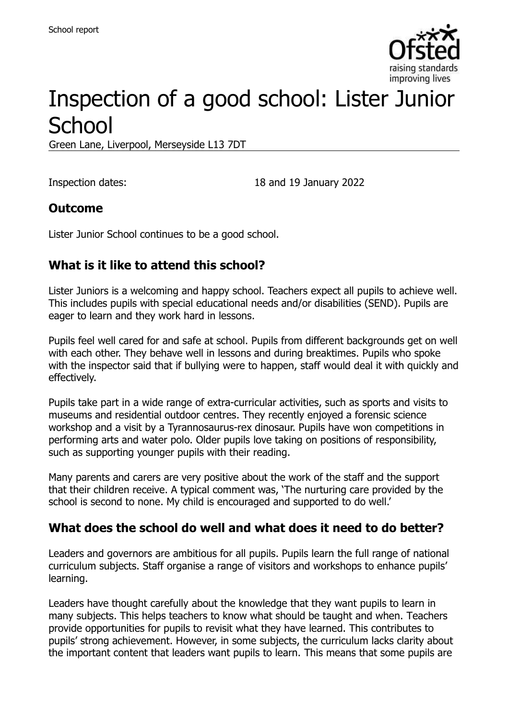

# Inspection of a good school: Lister Junior **School**

Green Lane, Liverpool, Merseyside L13 7DT

Inspection dates: 18 and 19 January 2022

#### **Outcome**

Lister Junior School continues to be a good school.

# **What is it like to attend this school?**

Lister Juniors is a welcoming and happy school. Teachers expect all pupils to achieve well. This includes pupils with special educational needs and/or disabilities (SEND). Pupils are eager to learn and they work hard in lessons.

Pupils feel well cared for and safe at school. Pupils from different backgrounds get on well with each other. They behave well in lessons and during breaktimes. Pupils who spoke with the inspector said that if bullying were to happen, staff would deal it with quickly and effectively.

Pupils take part in a wide range of extra-curricular activities, such as sports and visits to museums and residential outdoor centres. They recently enjoyed a forensic science workshop and a visit by a Tyrannosaurus-rex dinosaur. Pupils have won competitions in performing arts and water polo. Older pupils love taking on positions of responsibility, such as supporting younger pupils with their reading.

Many parents and carers are very positive about the work of the staff and the support that their children receive. A typical comment was, 'The nurturing care provided by the school is second to none. My child is encouraged and supported to do well.'

#### **What does the school do well and what does it need to do better?**

Leaders and governors are ambitious for all pupils. Pupils learn the full range of national curriculum subjects. Staff organise a range of visitors and workshops to enhance pupils' learning.

Leaders have thought carefully about the knowledge that they want pupils to learn in many subjects. This helps teachers to know what should be taught and when. Teachers provide opportunities for pupils to revisit what they have learned. This contributes to pupils' strong achievement. However, in some subjects, the curriculum lacks clarity about the important content that leaders want pupils to learn. This means that some pupils are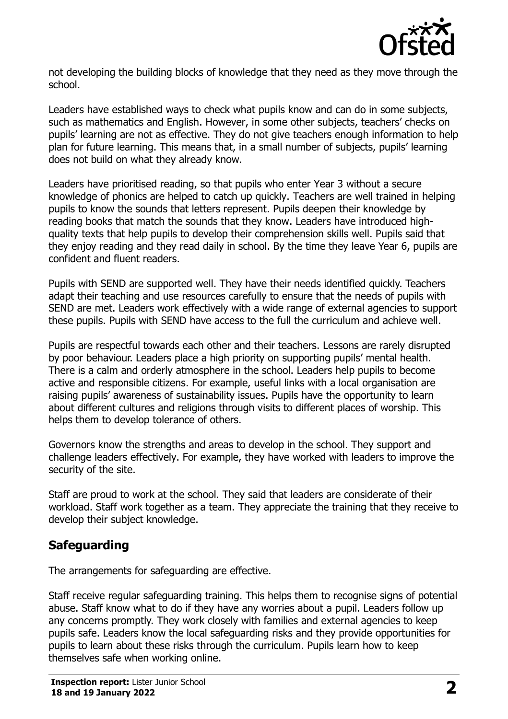

not developing the building blocks of knowledge that they need as they move through the school.

Leaders have established ways to check what pupils know and can do in some subjects, such as mathematics and English. However, in some other subjects, teachers' checks on pupils' learning are not as effective. They do not give teachers enough information to help plan for future learning. This means that, in a small number of subjects, pupils' learning does not build on what they already know.

Leaders have prioritised reading, so that pupils who enter Year 3 without a secure knowledge of phonics are helped to catch up quickly. Teachers are well trained in helping pupils to know the sounds that letters represent. Pupils deepen their knowledge by reading books that match the sounds that they know. Leaders have introduced highquality texts that help pupils to develop their comprehension skills well. Pupils said that they enjoy reading and they read daily in school. By the time they leave Year 6, pupils are confident and fluent readers.

Pupils with SEND are supported well. They have their needs identified quickly. Teachers adapt their teaching and use resources carefully to ensure that the needs of pupils with SEND are met. Leaders work effectively with a wide range of external agencies to support these pupils. Pupils with SEND have access to the full the curriculum and achieve well.

Pupils are respectful towards each other and their teachers. Lessons are rarely disrupted by poor behaviour. Leaders place a high priority on supporting pupils' mental health. There is a calm and orderly atmosphere in the school. Leaders help pupils to become active and responsible citizens. For example, useful links with a local organisation are raising pupils' awareness of sustainability issues. Pupils have the opportunity to learn about different cultures and religions through visits to different places of worship. This helps them to develop tolerance of others.

Governors know the strengths and areas to develop in the school. They support and challenge leaders effectively. For example, they have worked with leaders to improve the security of the site.

Staff are proud to work at the school. They said that leaders are considerate of their workload. Staff work together as a team. They appreciate the training that they receive to develop their subject knowledge.

# **Safeguarding**

The arrangements for safeguarding are effective.

Staff receive regular safeguarding training. This helps them to recognise signs of potential abuse. Staff know what to do if they have any worries about a pupil. Leaders follow up any concerns promptly. They work closely with families and external agencies to keep pupils safe. Leaders know the local safeguarding risks and they provide opportunities for pupils to learn about these risks through the curriculum. Pupils learn how to keep themselves safe when working online.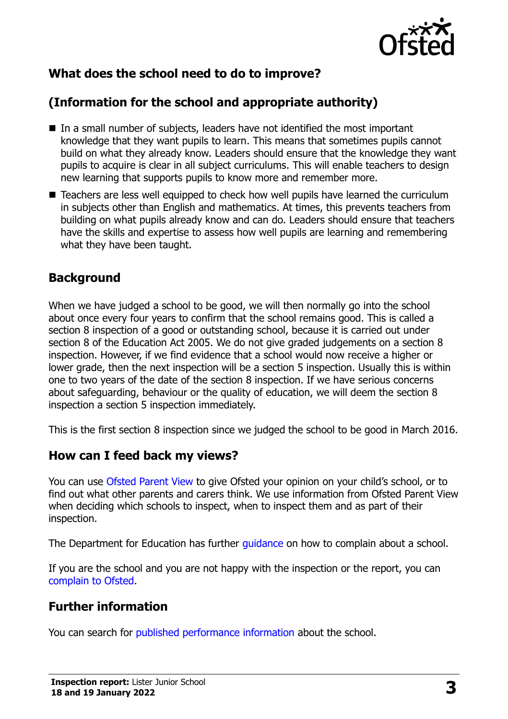

# **What does the school need to do to improve?**

# **(Information for the school and appropriate authority)**

- In a small number of subjects, leaders have not identified the most important knowledge that they want pupils to learn. This means that sometimes pupils cannot build on what they already know. Leaders should ensure that the knowledge they want pupils to acquire is clear in all subject curriculums. This will enable teachers to design new learning that supports pupils to know more and remember more.
- Teachers are less well equipped to check how well pupils have learned the curriculum in subjects other than English and mathematics. At times, this prevents teachers from building on what pupils already know and can do. Leaders should ensure that teachers have the skills and expertise to assess how well pupils are learning and remembering what they have been taught.

#### **Background**

When we have judged a school to be good, we will then normally go into the school about once every four years to confirm that the school remains good. This is called a section 8 inspection of a good or outstanding school, because it is carried out under section 8 of the Education Act 2005. We do not give graded judgements on a section 8 inspection. However, if we find evidence that a school would now receive a higher or lower grade, then the next inspection will be a section 5 inspection. Usually this is within one to two years of the date of the section 8 inspection. If we have serious concerns about safeguarding, behaviour or the quality of education, we will deem the section 8 inspection a section 5 inspection immediately.

This is the first section 8 inspection since we judged the school to be good in March 2016.

#### **How can I feed back my views?**

You can use [Ofsted Parent View](https://parentview.ofsted.gov.uk/) to give Ofsted your opinion on your child's school, or to find out what other parents and carers think. We use information from Ofsted Parent View when deciding which schools to inspect, when to inspect them and as part of their inspection.

The Department for Education has further [guidance](http://www.gov.uk/complain-about-school) on how to complain about a school.

If you are the school and you are not happy with the inspection or the report, you can [complain to Ofsted.](https://www.gov.uk/complain-ofsted-report)

# **Further information**

You can search for [published performance information](http://www.compare-school-performance.service.gov.uk/) about the school.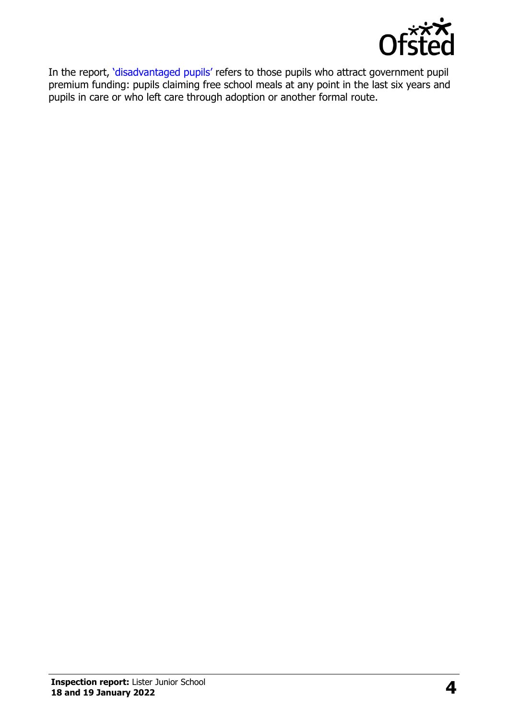

In the report, '[disadvantaged pupils](http://www.gov.uk/guidance/pupil-premium-information-for-schools-and-alternative-provision-settings)' refers to those pupils who attract government pupil premium funding: pupils claiming free school meals at any point in the last six years and pupils in care or who left care through adoption or another formal route.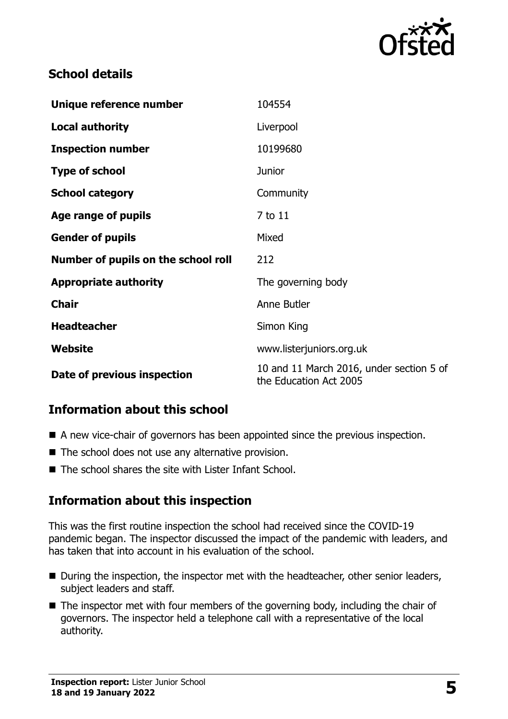

### **School details**

| Unique reference number             | 104554                                                             |
|-------------------------------------|--------------------------------------------------------------------|
| <b>Local authority</b>              | Liverpool                                                          |
| <b>Inspection number</b>            | 10199680                                                           |
| <b>Type of school</b>               | <b>Junior</b>                                                      |
| <b>School category</b>              | Community                                                          |
| Age range of pupils                 | 7 to 11                                                            |
| <b>Gender of pupils</b>             | Mixed                                                              |
| Number of pupils on the school roll | 212                                                                |
| <b>Appropriate authority</b>        | The governing body                                                 |
| <b>Chair</b>                        | Anne Butler                                                        |
| <b>Headteacher</b>                  | Simon King                                                         |
| Website                             | www.listerjuniors.org.uk                                           |
| Date of previous inspection         | 10 and 11 March 2016, under section 5 of<br>the Education Act 2005 |

# **Information about this school**

- A new vice-chair of governors has been appointed since the previous inspection.
- The school does not use any alternative provision.
- The school shares the site with Lister Infant School.

#### **Information about this inspection**

This was the first routine inspection the school had received since the COVID-19 pandemic began. The inspector discussed the impact of the pandemic with leaders, and has taken that into account in his evaluation of the school.

- During the inspection, the inspector met with the headteacher, other senior leaders, subject leaders and staff.
- The inspector met with four members of the governing body, including the chair of governors. The inspector held a telephone call with a representative of the local authority.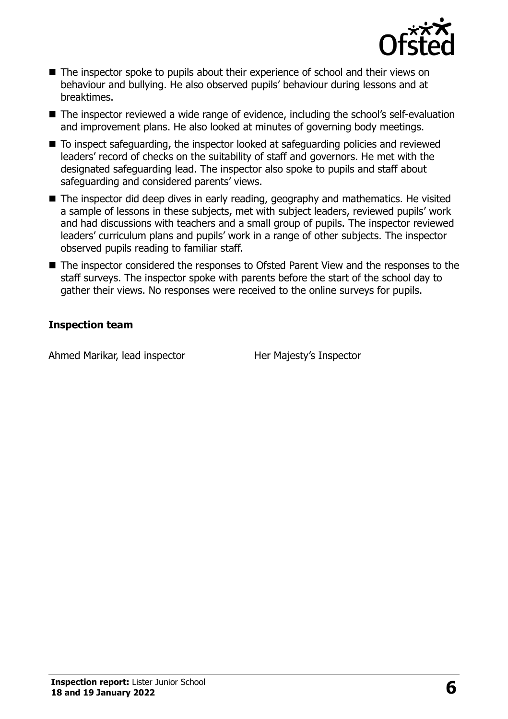

- The inspector spoke to pupils about their experience of school and their views on behaviour and bullying. He also observed pupils' behaviour during lessons and at breaktimes.
- The inspector reviewed a wide range of evidence, including the school's self-evaluation and improvement plans. He also looked at minutes of governing body meetings.
- To inspect safeguarding, the inspector looked at safeguarding policies and reviewed leaders' record of checks on the suitability of staff and governors. He met with the designated safeguarding lead. The inspector also spoke to pupils and staff about safeguarding and considered parents' views.
- The inspector did deep dives in early reading, geography and mathematics. He visited a sample of lessons in these subjects, met with subject leaders, reviewed pupils' work and had discussions with teachers and a small group of pupils. The inspector reviewed leaders' curriculum plans and pupils' work in a range of other subjects. The inspector observed pupils reading to familiar staff.
- The inspector considered the responses to Ofsted Parent View and the responses to the staff surveys. The inspector spoke with parents before the start of the school day to gather their views. No responses were received to the online surveys for pupils.

#### **Inspection team**

Ahmed Marikar, lead inspector Her Majesty's Inspector